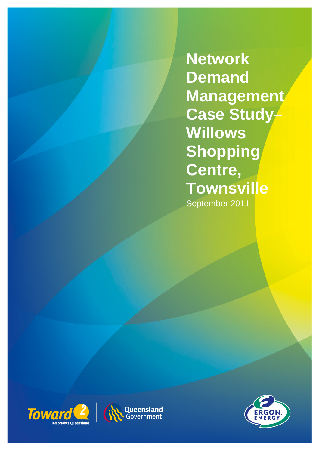**Network Demand Management Case Study-Willows Shopping Centre, Townsville**  September 2011





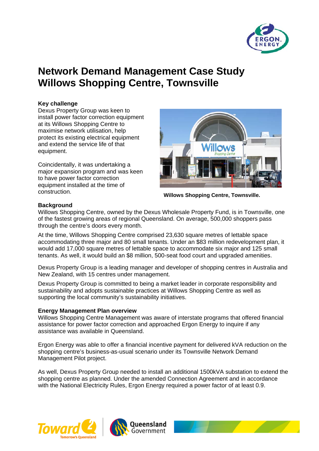

# **Network Demand Management Case Study Willows Shopping Centre, Townsville**

# **Key challenge**

Dexus Property Group was keen to install power factor correction equipment at its Willows Shopping Centre to maximise network utilisation, help protect its existing electrical equipment and extend the service life of that equipment.

Coincidentally, it was undertaking a major expansion program and was keen to have power factor correction equipment installed at the time of construction.



**Willows Shopping Centre, Townsville.** 

# **Background**

Willows Shopping Centre, owned by the Dexus Wholesale Property Fund, is in Townsville, one of the fastest growing areas of regional Queensland. On average, 500,000 shoppers pass through the centre's doors every month.

At the time, Willows Shopping Centre comprised 23,630 square metres of lettable space accommodating three major and 80 small tenants. Under an \$83 million redevelopment plan, it would add 17,000 square metres of lettable space to accommodate six major and 125 small tenants. As well, it would build an \$8 million, 500-seat food court and upgraded amenities.

Dexus Property Group is a leading manager and developer of shopping centres in Australia and New Zealand, with 15 centres under management.

Dexus Property Group is committed to being a market leader in corporate responsibility and sustainability and adopts sustainable practices at Willows Shopping Centre as well as supporting the local community's sustainability initiatives.

# **Energy Management Plan overview**

Willows Shopping Centre Management was aware of interstate programs that offered financial assistance for power factor correction and approached Ergon Energy to inquire if any assistance was available in Queensland.

Ergon Energy was able to offer a financial incentive payment for delivered kVA reduction on the shopping centre's business-as-usual scenario under its Townsville Network Demand Management Pilot project.

As well, Dexus Property Group needed to install an additional 1500kVA substation to extend the shopping centre as planned. Under the amended Connection Agreement and in accordance with the National Electricity Rules, Ergon Energy required a power factor of at least 0.9.





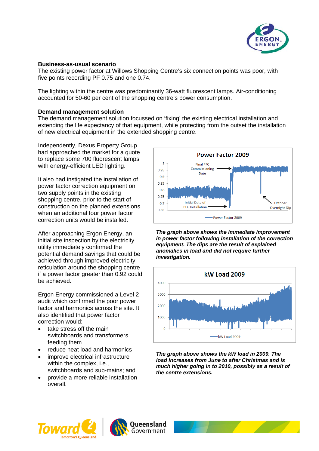

# **Business-as-usual scenario**

The existing power factor at Willows Shopping Centre's six connection points was poor, with five points recording PF 0.75 and one 0.74.

The lighting within the centre was predominantly 36-watt fluorescent lamps. Air-conditioning accounted for 50-60 per cent of the shopping centre's power consumption.

#### **Demand management solution**

The demand management solution focussed on 'fixing' the existing electrical installation and extending the life expectancy of that equipment, while protecting from the outset the installation of new electrical equipment in the extended shopping centre.

Independently, Dexus Property Group had approached the market for a quote to replace some 700 fluorescent lamps with energy-efficient LED lighting.

It also had instigated the installation of power factor correction equipment on two supply points in the existing shopping centre, prior to the start of construction on the planned extensions when an additional four power factor correction units would be installed.

After approaching Ergon Energy, an initial site inspection by the electricity utility immediately confirmed the potential demand savings that could be achieved through improved electricity reticulation around the shopping centre if a power factor greater than 0.92 could be achieved.

Ergon Energy commissioned a Level 2 audit which confirmed the poor power factor and harmonics across the site. It also identified that power factor correction would:

- take stress off the main switchboards and transformers feeding them
- reduce heat load and harmonics
- improve electrical infrastructure within the complex, i.e., switchboards and sub-mains; and
- provide a more reliable installation overall.



*The graph above shows the immediate improvement in power factor following installation of the correction equipment. The dips are the result of explained anomalies in load and did not require further investigation.* 



*The graph above shows the kW load in 2009. The load increases from June to after Christmas and is much higher going in to 2010, possibly as a result of the centre extensions.* 



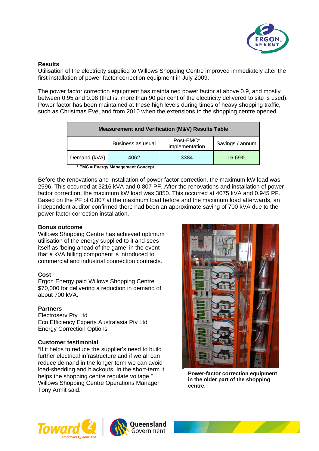

# **Results**

Utilisation of the electricity supplied to Willows Shopping Centre improved immediately after the first installation of power factor correction equipment in July 2009.

The power factor correction equipment has maintained power factor at above 0.9, and mostly between 0.95 and 0.98 (that is, more than 90 per cent of the electricity delivered to site is used). Power factor has been maintained at these high levels during times of heavy shopping traffic, such as Christmas Eve, and from 2010 when the extensions to the shopping centre opened.

| <b>Measurement and Verification (M&amp;V) Results Table</b> |                   |                             |                 |
|-------------------------------------------------------------|-------------------|-----------------------------|-----------------|
|                                                             | Business as usual | Post-EMC*<br>implementation | Savings / annum |
| Demand (kVA)                                                | 4062              | 3384                        | 16.69%          |

**\* EMC = Energy Management Concept** 

Before the renovations and installation of power factor correction, the maximum kW load was 2596. This occurred at 3216 kVA and 0.807 PF. After the renovations and installation of power factor correction, the maximum kW load was 3850. This occurred at 4075 kVA and 0.945 PF. Based on the PF of 0.807 at the maximum load before and the maximum load afterwards, an independent auditor confirmed there had been an approximate saving of 700 kVA due to the power factor correction installation.

#### **Bonus outcome**

Willows Shopping Centre has achieved optimum utilisation of the energy supplied to it and sees itself as 'being ahead of the game' in the event that a kVA billing component is introduced to commercial and industrial connection contracts.

# **Cost**

Ergon Energy paid Willows Shopping Centre \$70,000 for delivering a reduction in demand of about 700 kVA.

# **Partners**

Electroserv Pty Ltd Eco Efficiency Experts Australasia Pty Ltd Energy Correction Options

# **Customer testimonial**

"If it helps to reduce the supplier's need to build further electrical infrastructure and if we all can reduce demand in the longer term we can avoid load-shedding and blackouts. In the short-term it helps the shopping centre regulate voltage," Willows Shopping Centre Operations Manager Tony Armit said.



**Power-factor correction equipment in the older part of the shopping centre.**